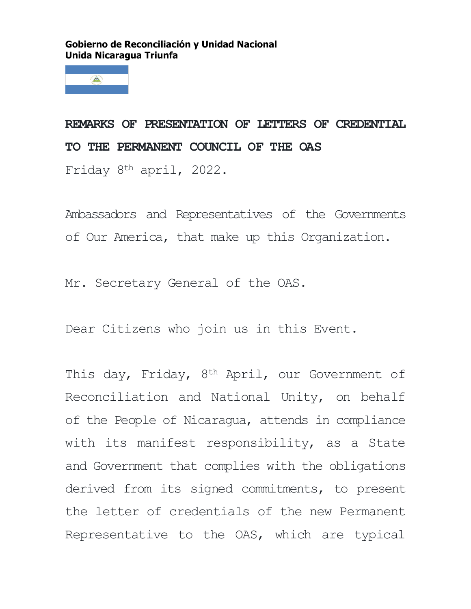## **Gobierno de Reconciliación y Unidad Nacional Unida Nicaragua Triunfa**



**REMARKS OF PRESENTATION OF LETTERS OF CREDENTIAL TO THE PERMANENT COUNCIL OF THE OAS**

Friday 8th april, 2022.

Ambassadors and Representatives of the Governments of Our America, that make up this Organization.

Mr. Secretary General of the OAS.

Dear Citizens who join us in this Event.

This day, Friday, 8<sup>th</sup> April, our Government of Reconciliation and National Unity, on behalf of the People of Nicaragua, attends in compliance with its manifest responsibility, as a State and Government that complies with the obligations derived from its signed commitments, to present the letter of credentials of the new Permanent Representative to the OAS, which are typical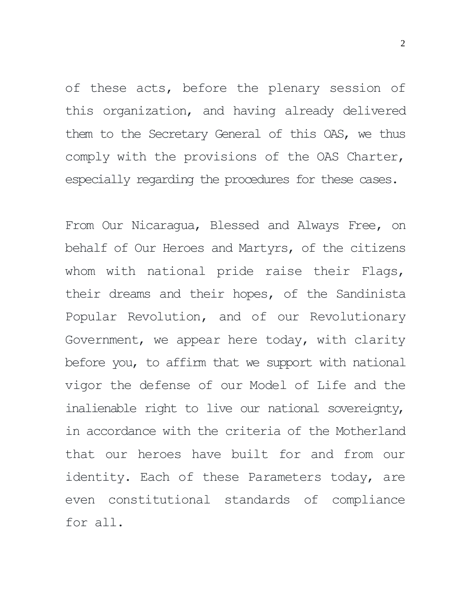of these acts, before the plenary session of this organization, and having already delivered them to the Secretary General of this OAS, we thus comply with the provisions of the OAS Charter, especially regarding the procedures for these cases.

From Our Nicaragua, Blessed and Always Free, on behalf of Our Heroes and Martyrs, of the citizens whom with national pride raise their Flags, their dreams and their hopes, of the Sandinista Popular Revolution, and of our Revolutionary Government, we appear here today, with clarity before you, to affirm that we support with national vigor the defense of our Model of Life and the inalienable right to live our national sovereignty, in accordance with the criteria of the Motherland that our heroes have built for and from our identity. Each of these Parameters today, are even constitutional standards of compliance for all.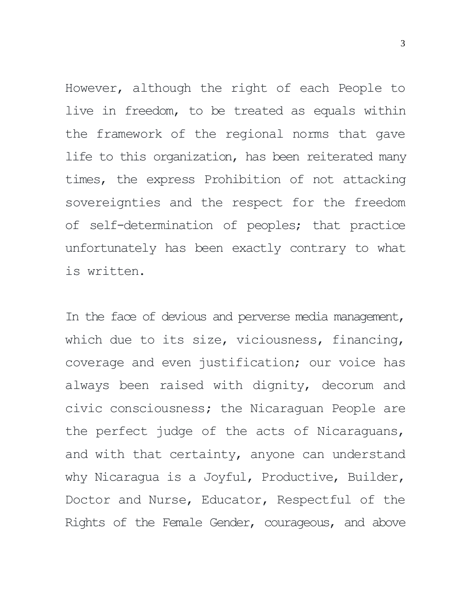However, although the right of each People to live in freedom, to be treated as equals within the framework of the regional norms that gave life to this organization, has been reiterated many times, the express Prohibition of not attacking sovereignties and the respect for the freedom of self-determination of peoples; that practice unfortunately has been exactly contrary to what is written.

In the face of devious and perverse media management, which due to its size, viciousness, financing, coverage and even justification; our voice has always been raised with dignity, decorum and civic consciousness; the Nicaraguan People are the perfect judge of the acts of Nicaraguans, and with that certainty, anyone can understand why Nicaragua is a Joyful, Productive, Builder, Doctor and Nurse, Educator, Respectful of the Rights of the Female Gender, courageous, and above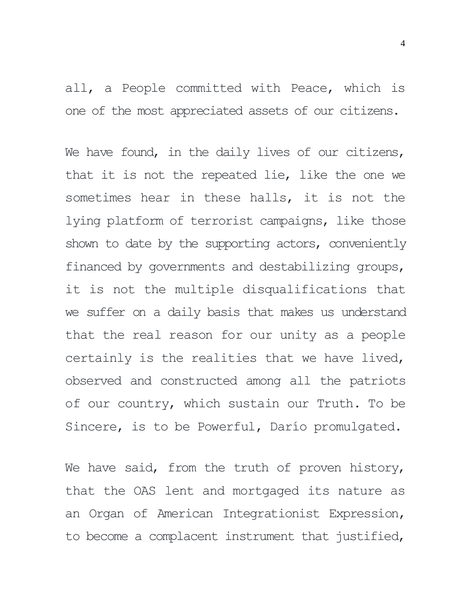all, a People committed with Peace, which is one of the most appreciated assets of our citizens.

We have found, in the daily lives of our citizens, that it is not the repeated lie, like the one we sometimes hear in these halls, it is not the lying platform of terrorist campaigns, like those shown to date by the supporting actors, conveniently financed by governments and destabilizing groups, it is not the multiple disqualifications that we suffer on a daily basis that makes us understand that the real reason for our unity as a people certainly is the realities that we have lived, observed and constructed among all the patriots of our country, which sustain our Truth. To be Sincere, is to be Powerful, Darío promulgated.

We have said, from the truth of proven history, that the OAS lent and mortgaged its nature as an Organ of American Integrationist Expression, to become a complacent instrument that justified,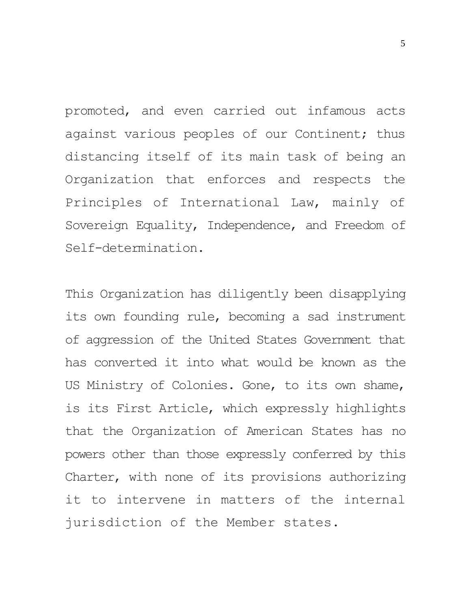promoted, and even carried out infamous acts against various peoples of our Continent; thus distancing itself of its main task of being an Organization that enforces and respects the Principles of International Law, mainly of Sovereign Equality, Independence, and Freedom of Self-determination.

This Organization has diligently been disapplying its own founding rule, becoming a sad instrument of aggression of the United States Government that has converted it into what would be known as the US Ministry of Colonies. Gone, to its own shame, is its First Article, which expressly highlights that the Organization of American States has no powers other than those expressly conferred by this Charter, with none of its provisions authorizing it to intervene in matters of the internal jurisdiction of the Member states.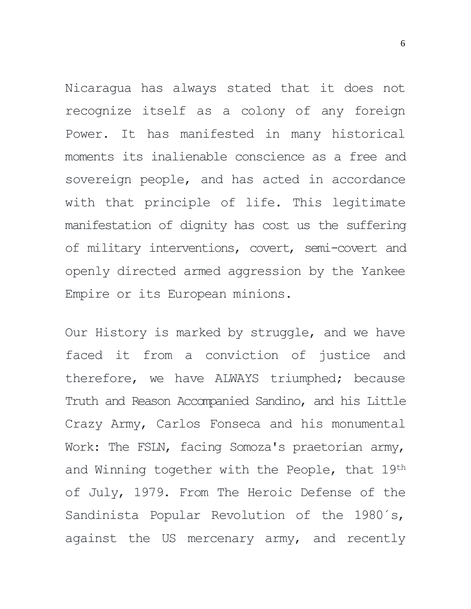Nicaragua has always stated that it does not recognize itself as a colony of any foreign Power. It has manifested in many historical moments its inalienable conscience as a free and sovereign people, and has acted in accordance with that principle of life. This legitimate manifestation of dignity has cost us the suffering of military interventions, covert, semi-covert and openly directed armed aggression by the Yankee Empire or its European minions.

Our History is marked by struggle, and we have faced it from a conviction of justice and therefore, we have ALWAYS triumphed; because Truth and Reason Accompanied Sandino, and his Little Crazy Army, Carlos Fonseca and his monumental Work: The FSLN, facing Somoza's praetorian army, and Winning together with the People, that 19<sup>th</sup> of July, 1979. From The Heroic Defense of the Sandinista Popular Revolution of the 1980´s, against the US mercenary army, and recently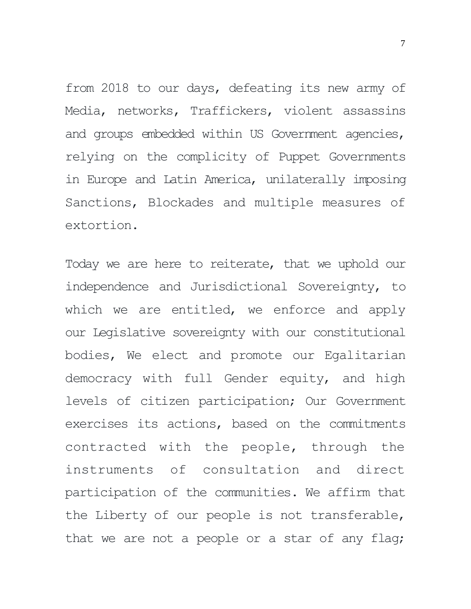from 2018 to our days, defeating its new army of Media, networks, Traffickers, violent assassins and groups embedded within US Government agencies, relying on the complicity of Puppet Governments in Europe and Latin America, unilaterally imposing Sanctions, Blockades and multiple measures of extortion.

Today we are here to reiterate, that we uphold our independence and Jurisdictional Sovereignty, to which we are entitled, we enforce and apply our Legislative sovereignty with our constitutional bodies, We elect and promote our Egalitarian democracy with full Gender equity, and high levels of citizen participation; Our Government exercises its actions, based on the commitments contracted with the people, through the instruments of consultation and direct participation of the communities. We affirm that the Liberty of our people is not transferable, that we are not a people or a star of any flag;